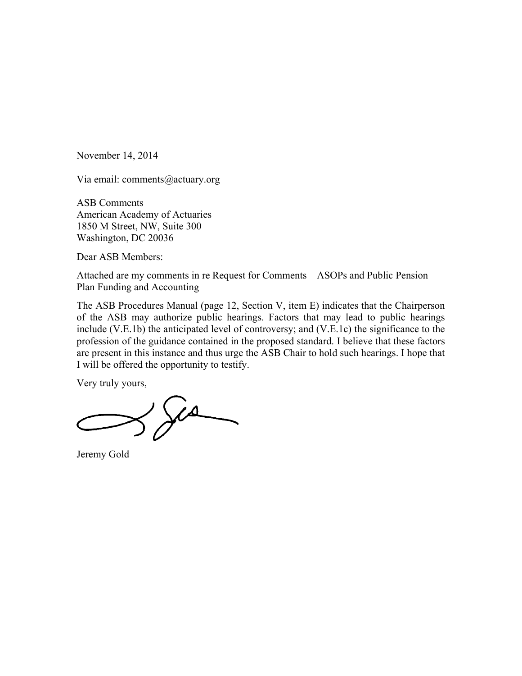November 14, 2014

Via email: comments@actuary.org

ASB Comments American Academy of Actuaries 1850 M Street, NW, Suite 300 Washington, DC 20036

Dear ASB Members:

Attached are my comments in re Request for Comments – ASOPs and Public Pension Plan Funding and Accounting

The ASB Procedures Manual (page 12, Section V, item E) indicates that the Chairperson of the ASB may authorize public hearings. Factors that may lead to public hearings include (V.E.1b) the anticipated level of controversy; and (V.E.1c) the significance to the profession of the guidance contained in the proposed standard. I believe that these factors are present in this instance and thus urge the ASB Chair to hold such hearings. I hope that I will be offered the opportunity to testify.

Very truly yours,

 $360$ 

Jeremy Gold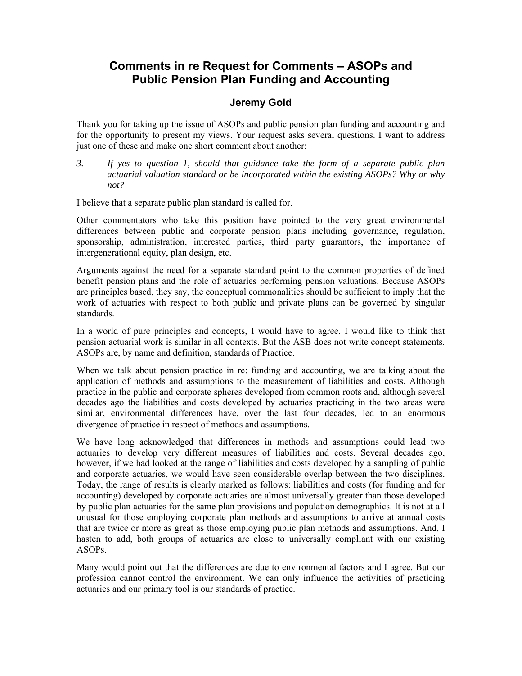## **Comments in re Request for Comments – ASOPs and Public Pension Plan Funding and Accounting**

## **Jeremy Gold**

Thank you for taking up the issue of ASOPs and public pension plan funding and accounting and for the opportunity to present my views. Your request asks several questions. I want to address just one of these and make one short comment about another:

*3. If yes to question 1, should that guidance take the form of a separate public plan actuarial valuation standard or be incorporated within the existing ASOPs? Why or why not?* 

I believe that a separate public plan standard is called for.

Other commentators who take this position have pointed to the very great environmental differences between public and corporate pension plans including governance, regulation, sponsorship, administration, interested parties, third party guarantors, the importance of intergenerational equity, plan design, etc.

Arguments against the need for a separate standard point to the common properties of defined benefit pension plans and the role of actuaries performing pension valuations. Because ASOPs are principles based, they say, the conceptual commonalities should be sufficient to imply that the work of actuaries with respect to both public and private plans can be governed by singular standards.

In a world of pure principles and concepts, I would have to agree. I would like to think that pension actuarial work is similar in all contexts. But the ASB does not write concept statements. ASOPs are, by name and definition, standards of Practice.

When we talk about pension practice in re: funding and accounting, we are talking about the application of methods and assumptions to the measurement of liabilities and costs. Although practice in the public and corporate spheres developed from common roots and, although several decades ago the liabilities and costs developed by actuaries practicing in the two areas were similar, environmental differences have, over the last four decades, led to an enormous divergence of practice in respect of methods and assumptions.

We have long acknowledged that differences in methods and assumptions could lead two actuaries to develop very different measures of liabilities and costs. Several decades ago, however, if we had looked at the range of liabilities and costs developed by a sampling of public and corporate actuaries, we would have seen considerable overlap between the two disciplines. Today, the range of results is clearly marked as follows: liabilities and costs (for funding and for accounting) developed by corporate actuaries are almost universally greater than those developed by public plan actuaries for the same plan provisions and population demographics. It is not at all unusual for those employing corporate plan methods and assumptions to arrive at annual costs that are twice or more as great as those employing public plan methods and assumptions. And, I hasten to add, both groups of actuaries are close to universally compliant with our existing ASOPs.

Many would point out that the differences are due to environmental factors and I agree. But our profession cannot control the environment. We can only influence the activities of practicing actuaries and our primary tool is our standards of practice.